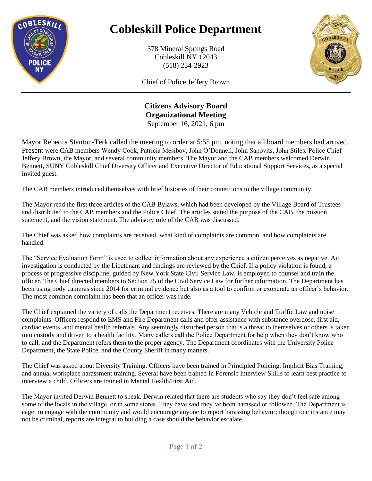

## **Cobleskill Police Department**

378 Mineral Springs Road Cobleskill NY 12043 (518) 234-2923



Chief of Police Jeffery Brown

## **Citizens Advisory Board Organizational Meeting**  September 16, 2021, 6 pm

Mayor Rebecca Stanton-Terk called the meeting to order at 5:55 pm, noting that all board members had arrived. Present were CAB members Wendy Cook, Patricia Mesibov, John O'Donnell, John Sapovits, John Stiles, Police Chief Jeffery Brown, the Mayor, and several community members. The Mayor and the CAB members welcomed Derwin Bennett, SUNY Cobleskill Chief Diversity Officer and Executive Director of Educational Support Services, as a special invited guest.

The CAB members introduced themselves with brief histories of their connections to the village community.

The Mayor read the first three articles of the CAB Bylaws, which had been developed by the Village Board of Trustees and distributed to the CAB members and the Police Chief. The articles stated the purpose of the CAB, the mission statement, and the vision statement. The advisory role of the CAB was discussed.

The Chief was asked how complaints are received, what kind of complaints are common, and how complaints are handled.

The "Service Evaluation Form" is used to collect information about any experience a citizen perceives as negative. An investigation is conducted by the Lieutenant and findings are reviewed by the Chief. If a policy violation is found, a process of progressive discipline, guided by New York State Civil Service Law, is employed to counsel and train the officer. The Chief directed members to Section 75 of the Civil Service Law for further information. The Department has been using body cameras since 2014 for criminal evidence but also as a tool to confirm or exonerate an officer's behavior. The most common complaint has been that an officer was rude.

The Chief explained the variety of calls the Department receives. There are many Vehicle and Traffic Law and noise complaints. Officers respond to EMS and Fire Department calls and offer assistance with substance overdose, first aid, cardiac events, and mental health referrals. Any seemingly disturbed person that is a threat to themselves or others is taken into custody and driven to a health facility. Many callers call the Police Department for help when they don't know who to call, and the Department refers them to the proper agency. The Department coordinates with the University Police Department, the State Police, and the County Sheriff in many matters.

The Chief was asked about Diversity Training. Officers have been trained in Principled Policing, Implicit Bias Training, and annual workplace harassment training. Several have been trained in Forensic Interview Skills to learn best practice to interview a child. Officers are trained in Mental Health/First Aid.

The Mayor invited Derwin Bennett to speak. Derwin related that there are students who say they don't feel safe among some of the locals in the village, or in some stores. They have said they've been harassed or followed. The Department is eager to engage with the community and would encourage anyone to report harassing behavior; though one instance may not be criminal, reports are integral to building a case should the behavior escalate.